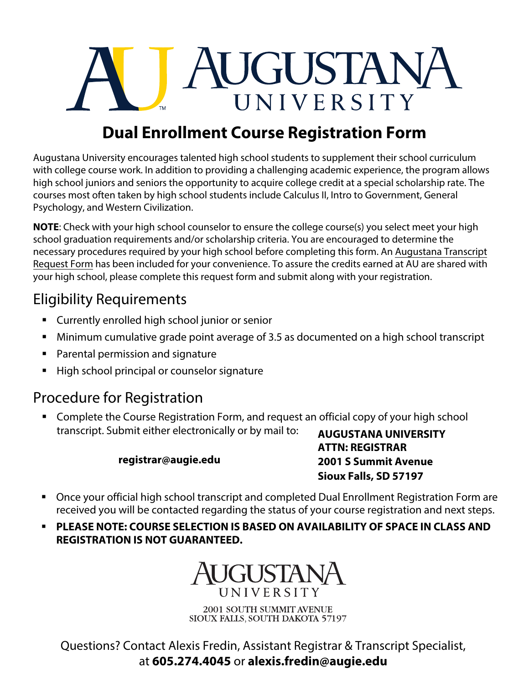

## **Dual Enrollment Course Registration Form**

Augustana University encourages talented high school students to supplement their school curriculum with college course work. In addition to providing a challenging academic experience, the program allows high school juniors and seniors the opportunity to acquire college credit at a special scholarship rate. The courses most often taken by high school students include Calculus II, Intro to Government, General Psychology, and Western Civilization.

**NOTE**: Check with your high school counselor to ensure the college course(s) you select meet your high school graduation requirements and/or scholarship criteria. You are encouraged to determine the necessary procedures required by your high school before completing this form. An Augustana Transcript Request Form has been included for your convenience. To assure the credits earned at AU are shared with your high school, please complete this request form and submit along with your registration.

### Eligibility Requirements

- **EXECUTE:** Currently enrolled high school junior or senior
- Minimum cumulative grade point average of 3.5 as documented on a high school transcript
- Parental permission and signature
- High school principal or counselor signature

#### Procedure for Registration

**EXP** Complete the Course Registration Form, and request an official copy of your high school transcript. Submit either electronically or by mail to:

#### **registrar@augie.edu**

**AUGUSTANA UNIVERSITY ATTN: REGISTRAR 2001 S Summit Avenue Sioux Falls, SD 57197** 

- Once your official high school transcript and completed Dual Enrollment Registration Form are received you will be contacted regarding the status of your course registration and next steps.
- **PLEASE NOTE: COURSE SELECTION IS BASED ON AVAILABILITY OF SPACE IN CLASS AND REGISTRATION IS NOT GUARANTEED.**



2001 SOUTH SUMMIT AVENUE SIOUX FALLS, SOUTH DAKOTA 57197

Questions? Contact Alexis Fredin, Assistant Registrar & Transcript Specialist, at **605.274.4045** or **alexis.fredin@augie.edu**